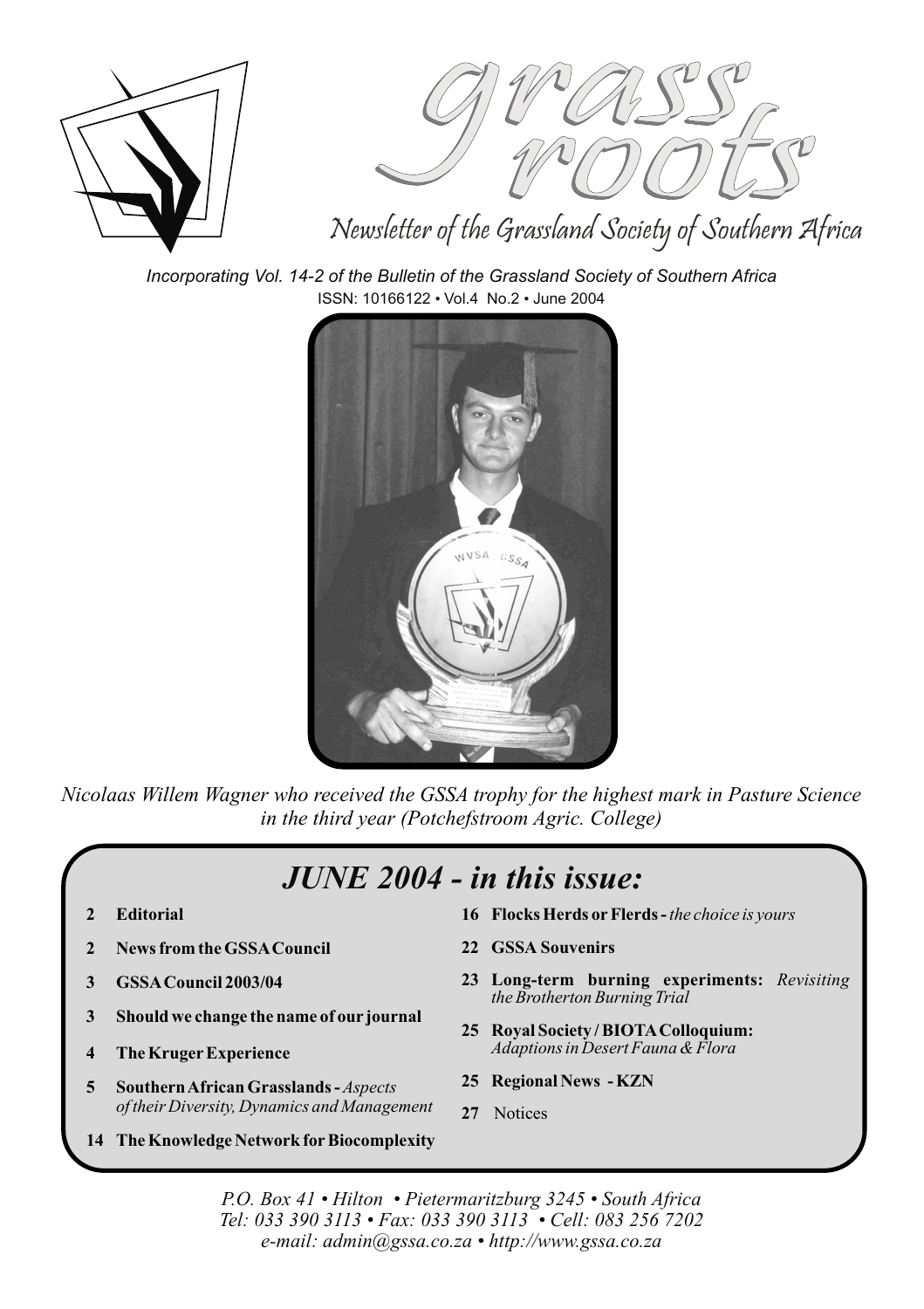



### Newsletter of the Grassland Society of Southern Africa

*Incorporating Vol. 14-2 of the Bulletin of the Grassland Society of Southern Africa* ISSN: 10166122 · Vol.4 No.2 · June 2004



*Nicolaas Willem Wagner who received the GSSA trophy for the highest mark in Pasture Science in the third year (Potchefstroom Agric. College)*

### *JUNE 2004 - in this issue:*

- **2 Editorial**
- **2 News from the GSSACouncil**
- **3 GSSACouncil 2003/04**
- **3 Should we change the name of our journal**
- **4 The KrugerExperience**
- **5 SouthernAfrican Grasslands -** *Aspects of their Diversity, Dynamics and Management*
- **14 The Knowledge Network forBiocomplexity**
- **16 Flocks Herds or Flerds -** *the choice is yours*
- **22 GSSA Souvenirs**
- **23 Long-term burning experiments:** *Revisiting the Brotherton Burning Trial*
- **25 Royal Society / BIOTAColloquium:** *Adaptions in Desert Fauna & Flora*
- **25 Regional News KZN**
- **27** Notices

*P.O. Box 41 • Hilton • Pietermaritzburg 3245 • South Africa Tel: 033 390 3113 • Fax: 033 390 3113 • Cell: 083 256 7202 e-mail: admin@gssa.co.za • http://www.gssa.co.za*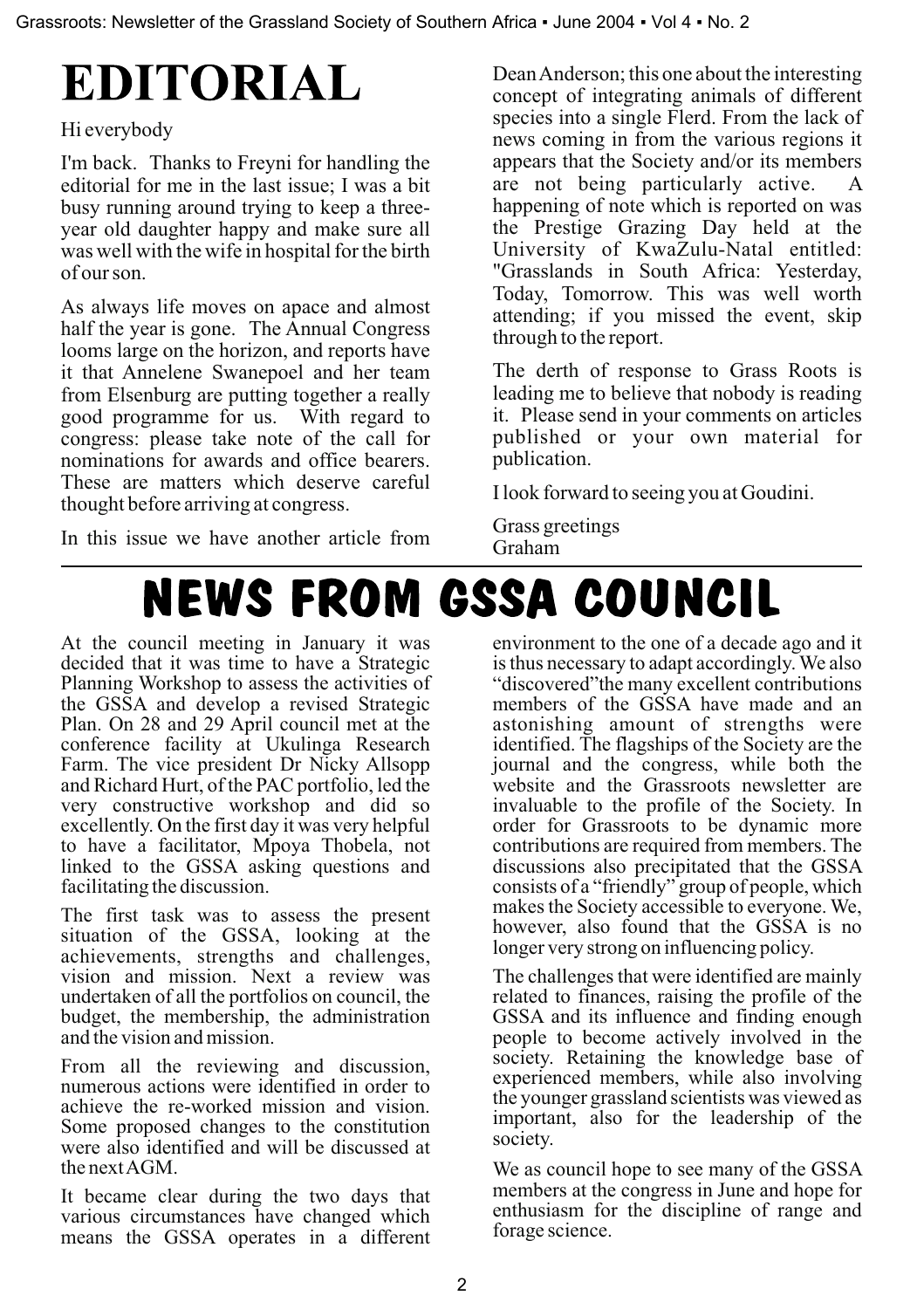# **EDITORIAL**

#### Hi everybody

I'm back. Thanks to Freyni for handling the editorial for me in the last issue; I was a bit busy running around trying to keep a threeyear old daughter happy and make sure all was well with the wife in hospital for the birth of our son.

As always life moves on apace and almost half the year is gone. The Annual Congress looms large on the horizon, and reports have it that Annelene Swanepoel and her team from Elsenburg are putting together a really good programme for us. With regard to congress: please take note of the call for nominations for awards and office bearers. These are matters which deserve careful thought before arriving at congress.

In this issue we have another article from

DeanAnderson; this one about the interesting concept of integrating animals of different species into a single Flerd. From the lack of news coming in from the various regions it appears that the Society and/or its members are not being particularly active. happening of note which is reported on was the Prestige Grazing Day held at the University of KwaZulu-Natal entitled: "Grasslands in South Africa: Yesterday, Today, Tomorrow. This was well worth attending; if you missed the event, skip through to the report.

The derth of response to Grass Roots is leading me to believe that nobody is reading it. Please send in your comments on articles published or your own material for publication.

I look forward to seeing you at Goudini.

Grass greetings Graham

## **NEWS FROM GSSA COUNCIL**

At the council meeting in January it was decided that it was time to have a Strategic Planning Workshop to assess the activities of the GSSA and develop a revised Strategic Plan. On 28 and 29 April council met at the conference facility at Ukulinga Research Farm. The vice president Dr Nicky Allsopp and Richard Hurt, of the PAC portfolio, led the very constructive workshop and did so excellently. On the first day it was very helpful to have a facilitator, Mpoya Thobela, not linked to the GSSA asking questions and facilitating the discussion.

The first task was to assess the present situation of the GSSA, looking at the achievements, strengths and challenges, vision and mission. Next a review was undertaken of all the portfolios on council, the budget, the membership, the administration and the vision and mission.

From all the reviewing and discussion, numerous actions were identified in order to achieve the re-worked mission and vision. Some proposed changes to the constitution were also identified and will be discussed at the nextAGM.

It became clear during the two days that various circumstances have changed which means the GSSA operates in a different

environment to the one of a decade ago and it is thus necessary to adapt accordingly.We also "discovered"the many excellent contributions members of the GSSA have made and an astonishing amount of strengths were identified. The flagships of the Society are the journal and the congress, while both the website and the Grassroots newsletter are invaluable to the profile of the Society. In order for Grassroots to be dynamic more contributions are required from members. The discussions also precipitated that the GSSA consists of a "friendly" group of people, which makes the Society accessible to everyone. We, however, also found that the GSSA is no longer very strong on influencing policy.

The challenges that were identified are mainly related to finances, raising the profile of the GSSA and its influence and finding enough people to become actively involved in the society. Retaining the knowledge base of experienced members, while also involving the younger grassland scientists was viewed as important, also for the leadership of the society.

We as council hope to see many of the GSSA members at the congress in June and hope for enthusiasm for the discipline of range and forage science.